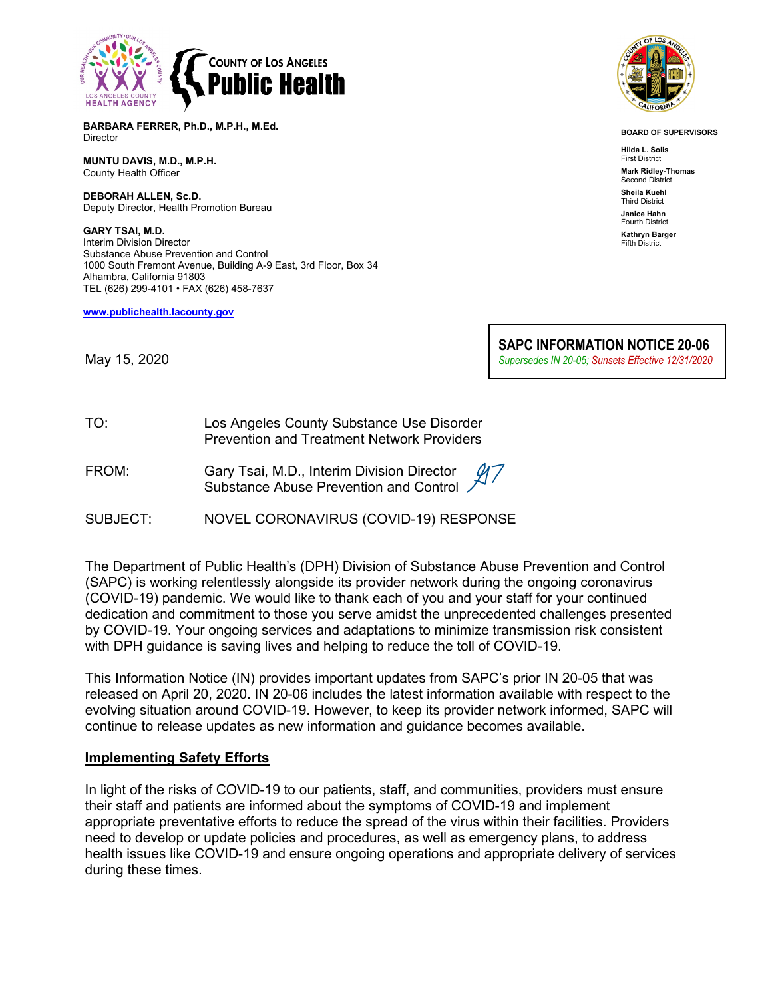

**BARBARA FERRER, Ph.D., M.P.H., M.Ed.** Director

**MUNTU DAVIS, M.D., M.P.H.** County Health Officer

**DEBORAH ALLEN, Sc.D.** Deputy Director, Health Promotion Bureau

**GARY TSAI, M.D.** Interim Division Director Substance Abuse Prevention and Control 1000 South Fremont Avenue, Building A-9 East, 3rd Floor, Box 34 Alhambra, California 91803 TEL (626) 299-4101 • FAX (626) 458-7637

**[www.publichealth.lacounty.gov](about:blank)**



**BOARD OF SUPERVISORS**

**Hilda L. Solis** First District **Mark Ridley-Thomas** Second District **Sheila Kuehl** Third District **Janice Hahn** Fourth District **Kathryn Barger** Fifth District

May 15, 2020

**SAPC INFORMATION NOTICE 20-06** *Supersedes IN 20-05; Sunsets Effective 12/31/2020*

| TO: | Los Angeles County Substance Use Disorder         |  |
|-----|---------------------------------------------------|--|
|     | <b>Prevention and Treatment Network Providers</b> |  |

FROM: Gary Tsai, M.D., Interim Division Director Substance Abuse Prevention and Control

SUBJECT: NOVEL CORONAVIRUS (COVID-19) RESPONSE

The Department of Public Health's (DPH) Division of Substance Abuse Prevention and Control (SAPC) is working relentlessly alongside its provider network during the ongoing coronavirus (COVID-19) pandemic. We would like to thank each of you and your staff for your continued dedication and commitment to those you serve amidst the unprecedented challenges presented by COVID-19. Your ongoing services and adaptations to minimize transmission risk consistent with DPH guidance is saving lives and helping to reduce the toll of COVID-19.

This Information Notice (IN) provides important updates from SAPC's prior IN 20-05 that was released on April 20, 2020. IN 20-06 includes the latest information available with respect to the evolving situation around COVID-19. However, to keep its provider network informed, SAPC will continue to release updates as new information and guidance becomes available.

### **Implementing Safety Efforts**

In light of the risks of COVID-19 to our patients, staff, and communities, providers must ensure their staff and patients are informed about the symptoms of COVID-19 and implement appropriate preventative efforts to reduce the spread of the virus within their facilities. Providers need to develop or update policies and procedures, as well as emergency plans, to address health issues like COVID-19 and ensure ongoing operations and appropriate delivery of services during these times.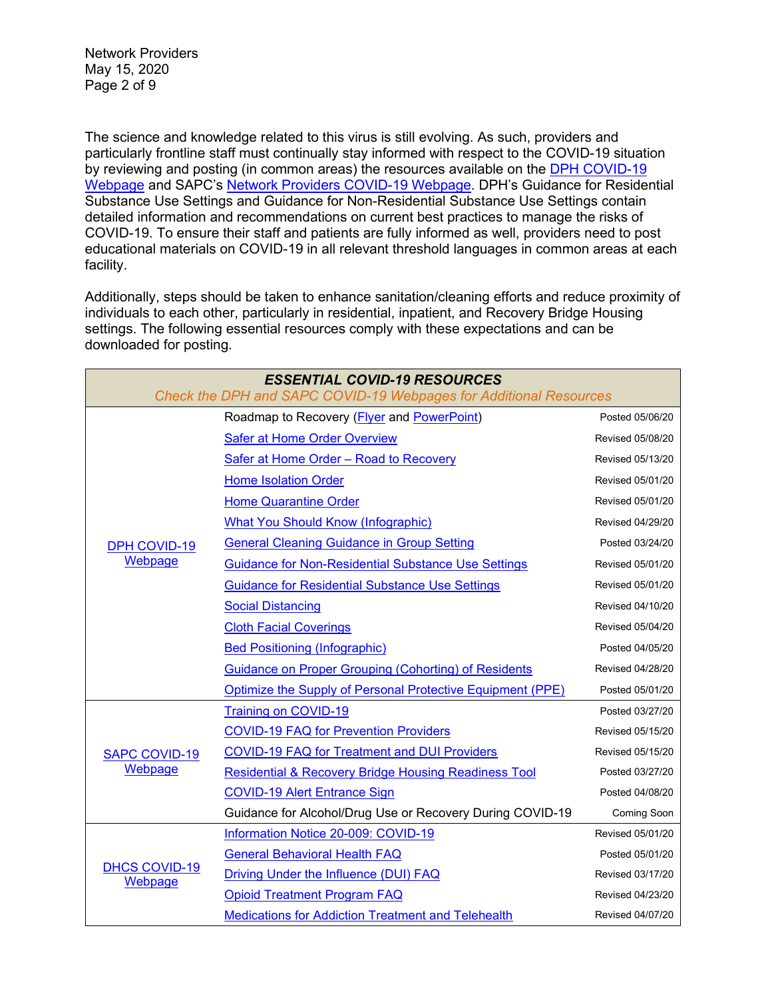Network Providers May 15, 2020 Page 2 of 9

The science and knowledge related to this virus is still evolving. As such, providers and particularly frontline staff must continually stay informed with respect to the COVID-19 situation by reviewing and posting (in common areas) the resources available on the [DPH COVID-19](http://publichealth.lacounty.gov/media/Coronavirus/)  [Webpage](http://publichealth.lacounty.gov/media/Coronavirus/) and SAPC's [Network Providers COVID-19 Webpage.](http://publichealth.lacounty.gov/sapc/providers/covid19/) DPH's Guidance for Residential Substance Use Settings and Guidance for Non-Residential Substance Use Settings contain detailed information and recommendations on current best practices to manage the risks of COVID-19. To ensure their staff and patients are fully informed as well, providers need to post educational materials on COVID-19 in all relevant threshold languages in common areas at each facility.

Additionally, steps should be taken to enhance sanitation/cleaning efforts and reduce proximity of individuals to each other, particularly in residential, inpatient, and Recovery Bridge Housing settings. The following essential resources comply with these expectations and can be downloaded for posting.

| <b>ESSENTIAL COVID-19 RESOURCES</b><br>Check the DPH and SAPC COVID-19 Webpages for Additional Resources |                                                                 |                    |  |
|----------------------------------------------------------------------------------------------------------|-----------------------------------------------------------------|--------------------|--|
| <b>DPH COVID-19</b><br>Webpage                                                                           | Roadmap to Recovery ( <i>Flyer</i> and <i>PowerPoint</i> )      | Posted 05/06/20    |  |
|                                                                                                          | <b>Safer at Home Order Overview</b>                             | Revised 05/08/20   |  |
|                                                                                                          | Safer at Home Order - Road to Recovery                          | Revised 05/13/20   |  |
|                                                                                                          | <b>Home Isolation Order</b>                                     | Revised 05/01/20   |  |
|                                                                                                          | <b>Home Quarantine Order</b>                                    | Revised 05/01/20   |  |
|                                                                                                          | <b>What You Should Know (Infographic)</b>                       | Revised 04/29/20   |  |
|                                                                                                          | <b>General Cleaning Guidance in Group Setting</b>               | Posted 03/24/20    |  |
|                                                                                                          | <b>Guidance for Non-Residential Substance Use Settings</b>      | Revised 05/01/20   |  |
|                                                                                                          | <b>Guidance for Residential Substance Use Settings</b>          | Revised 05/01/20   |  |
|                                                                                                          | <b>Social Distancing</b>                                        | Revised 04/10/20   |  |
|                                                                                                          | <b>Cloth Facial Coverings</b>                                   | Revised 05/04/20   |  |
|                                                                                                          | <b>Bed Positioning (Infographic)</b>                            | Posted 04/05/20    |  |
|                                                                                                          | <b>Guidance on Proper Grouping (Cohorting) of Residents</b>     | Revised 04/28/20   |  |
|                                                                                                          | Optimize the Supply of Personal Protective Equipment (PPE)      | Posted 05/01/20    |  |
| <b>SAPC COVID-19</b><br><b>Webpage</b>                                                                   | <b>Training on COVID-19</b>                                     | Posted 03/27/20    |  |
|                                                                                                          | <b>COVID-19 FAQ for Prevention Providers</b>                    | Revised 05/15/20   |  |
|                                                                                                          | <b>COVID-19 FAQ for Treatment and DUI Providers</b>             | Revised 05/15/20   |  |
|                                                                                                          | <b>Residential &amp; Recovery Bridge Housing Readiness Tool</b> | Posted 03/27/20    |  |
|                                                                                                          | <b>COVID-19 Alert Entrance Sign</b>                             | Posted 04/08/20    |  |
|                                                                                                          | Guidance for Alcohol/Drug Use or Recovery During COVID-19       | <b>Coming Soon</b> |  |
| <b>DHCS COVID-19</b><br>Webpage                                                                          | Information Notice 20-009: COVID-19                             | Revised 05/01/20   |  |
|                                                                                                          | <b>General Behavioral Health FAQ</b>                            | Posted 05/01/20    |  |
|                                                                                                          | Driving Under the Influence (DUI) FAQ                           | Revised 03/17/20   |  |
|                                                                                                          | <b>Opioid Treatment Program FAQ</b>                             | Revised 04/23/20   |  |
|                                                                                                          | <b>Medications for Addiction Treatment and Telehealth</b>       | Revised 04/07/20   |  |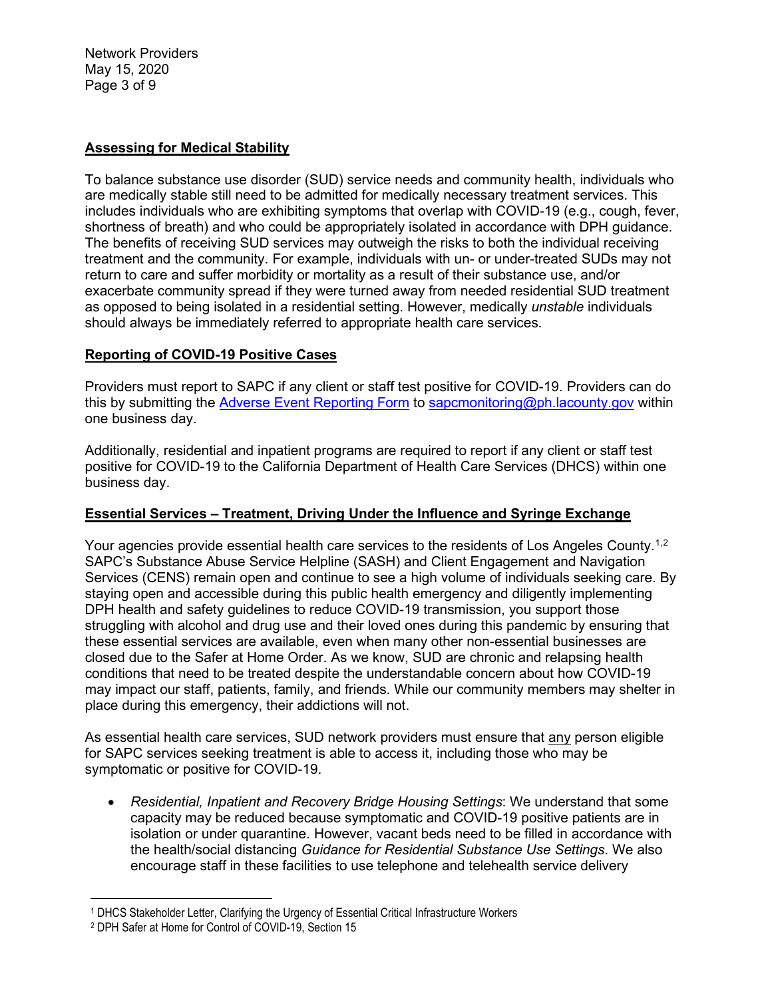Network Providers May 15, 2020 Page 3 of 9

## **Assessing for Medical Stability**

To balance substance use disorder (SUD) service needs and community health, individuals who are medically stable still need to be admitted for medically necessary treatment services. This includes individuals who are exhibiting symptoms that overlap with COVID-19 (e.g., cough, fever, shortness of breath) and who could be appropriately isolated in accordance with DPH guidance. The benefits of receiving SUD services may outweigh the risks to both the individual receiving treatment and the community. For example, individuals with un- or under-treated SUDs may not return to care and suffer morbidity or mortality as a result of their substance use, and/or exacerbate community spread if they were turned away from needed residential SUD treatment as opposed to being isolated in a residential setting. However, medically *unstable* individuals should always be immediately referred to appropriate health care services.

## **Reporting of COVID-19 Positive Cases**

Providers must report to SAPC if any client or staff test positive for COVID-19. Providers can do this by submitting the [Adverse Event Reporting Form](http://publichealth.lacounty.gov/sapc/NetworkProviders/ClinicalForms/AQI/AdverseEventReportingForm.pdf) to [sapcmonitoring@ph.lacounty.gov](mailto:sapcmonitoring@ph.lacounty.gov) within one business day.

Additionally, residential and inpatient programs are required to report if any client or staff test positive for COVID-19 to the California Department of Health Care Services (DHCS) within one business day.

# **Essential Services – Treatment, Driving Under the Influence and Syringe Exchange**

Your agencies provide essential health care services to the residents of Los Angeles County.<sup>[1,](#page-2-0)[2](#page-2-1)</sup> SAPC's Substance Abuse Service Helpline (SASH) and Client Engagement and Navigation Services (CENS) remain open and continue to see a high volume of individuals seeking care. By staying open and accessible during this public health emergency and diligently implementing DPH health and safety guidelines to reduce COVID-19 transmission, you support those struggling with alcohol and drug use and their loved ones during this pandemic by ensuring that these essential services are available, even when many other non-essential businesses are closed due to the Safer at Home Order. As we know, SUD are chronic and relapsing health conditions that need to be treated despite the understandable concern about how COVID-19 may impact our staff, patients, family, and friends. While our community members may shelter in place during this emergency, their addictions will not.

As essential health care services, SUD network providers must ensure that any person eligible for SAPC services seeking treatment is able to access it, including those who may be symptomatic or positive for COVID-19.

• *Residential, Inpatient and Recovery Bridge Housing Settings*: We understand that some capacity may be reduced because symptomatic and COVID-19 positive patients are in isolation or under quarantine. However, vacant beds need to be filled in accordance with the health/social distancing *Guidance for Residential Substance Use Settings*. We also encourage staff in these facilities to use telephone and telehealth service delivery

<span id="page-2-0"></span><sup>1</sup> DHCS Stakeholder Letter, Clarifying the Urgency of Essential Critical Infrastructure Workers

<span id="page-2-1"></span><sup>2</sup> DPH Safer at Home for Control of COVID-19, Section 15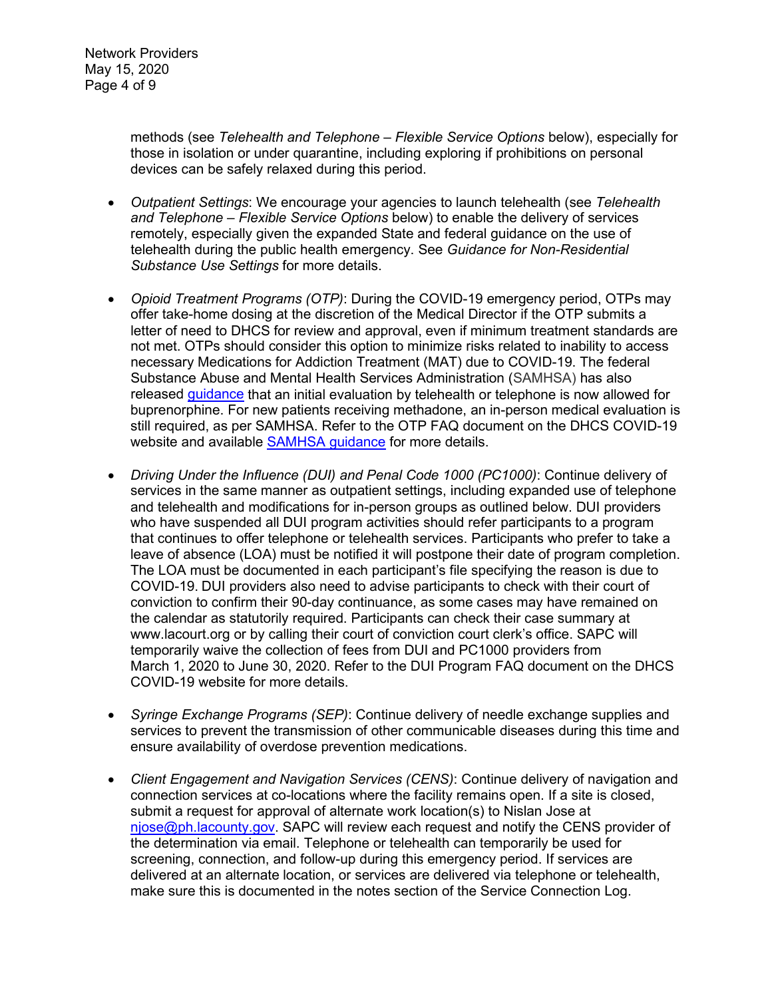methods (see *Telehealth and Telephone – Flexible Service Options* below), especially for those in isolation or under quarantine, including exploring if prohibitions on personal devices can be safely relaxed during this period.

- *Outpatient Settings*: We encourage your agencies to launch telehealth (see *Telehealth and Telephone – Flexible Service Options* below) to enable the delivery of services remotely, especially given the expanded State and federal guidance on the use of telehealth during the public health emergency. See *Guidance for Non-Residential Substance Use Settings* for more details.
- *Opioid Treatment Programs (OTP)*: During the COVID-19 emergency period, OTPs may offer take-home dosing at the discretion of the Medical Director if the OTP submits a letter of need to DHCS for review and approval, even if minimum treatment standards are not met. OTPs should consider this option to minimize risks related to inability to access necessary Medications for Addiction Treatment (MAT) due to COVID-19. The federal Substance Abuse and Mental Health Services Administration (SAMHSA) has also released [guidance](https://www.samhsa.gov/sites/default/files/faqs-for-oud-prescribing-and-dispensing.pdf) that an initial evaluation by telehealth or telephone is now allowed for buprenorphine. For new patients receiving methadone, an in-person medical evaluation is still required, as per SAMHSA. Refer to the OTP FAQ document on the DHCS COVID-19 website and available **SAMHSA** guidance for more details.
- *Driving Under the Influence (DUI) and Penal Code 1000 (PC1000)*: Continue delivery of services in the same manner as outpatient settings, including expanded use of telephone and telehealth and modifications for in-person groups as outlined below. DUI providers who have suspended all DUI program activities should refer participants to a program that continues to offer telephone or telehealth services. Participants who prefer to take a leave of absence (LOA) must be notified it will postpone their date of program completion. The LOA must be documented in each participant's file specifying the reason is due to COVID-19. DUI providers also need to advise participants to check with their court of conviction to confirm their 90-day continuance, as some cases may have remained on the calendar as statutorily required. Participants can check their case summary at www.lacourt.org or by calling their court of conviction court clerk's office. SAPC will temporarily waive the collection of fees from DUI and PC1000 providers from March 1, 2020 to June 30, 2020. Refer to the DUI Program FAQ document on the DHCS COVID-19 website for more details.
- *Syringe Exchange Programs (SEP)*: Continue delivery of needle exchange supplies and services to prevent the transmission of other communicable diseases during this time and ensure availability of overdose prevention medications.
- *Client Engagement and Navigation Services (CENS)*: Continue delivery of navigation and connection services at co-locations where the facility remains open. If a site is closed, submit a request for approval of alternate work location(s) to Nislan Jose at [njose@ph.lacounty.gov.](mailto:njose@ph.lacounty.gov) SAPC will review each request and notify the CENS provider of the determination via email. Telephone or telehealth can temporarily be used for screening, connection, and follow-up during this emergency period. If services are delivered at an alternate location, or services are delivered via telephone or telehealth, make sure this is documented in the notes section of the Service Connection Log.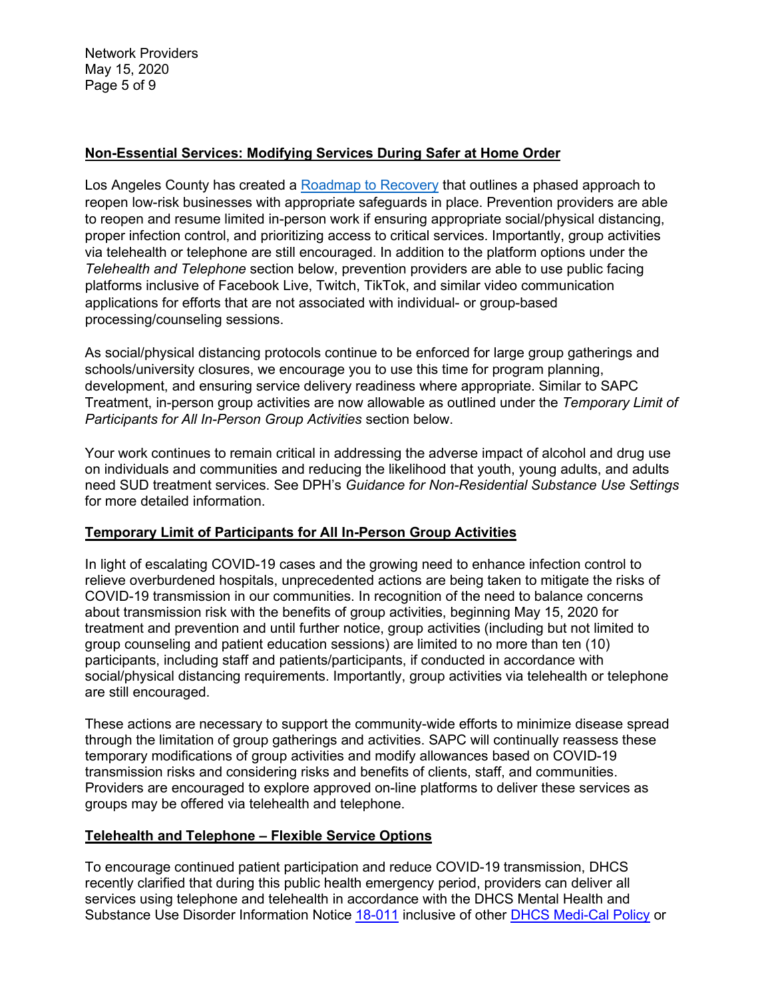Network Providers May 15, 2020 Page 5 of 9

## **Non-Essential Services: Modifying Services During Safer at Home Order**

Los Angeles County has created a [Roadmap to Recovery](https://covid19.lacounty.gov/wp-content/uploads/RoadmapToRecovery-powerpoint-1.pdf) that outlines a phased approach to reopen low-risk businesses with appropriate safeguards in place. Prevention providers are able to reopen and resume limited in-person work if ensuring appropriate social/physical distancing, proper infection control, and prioritizing access to critical services. Importantly, group activities via telehealth or telephone are still encouraged. In addition to the platform options under the *Telehealth and Telephone* section below, prevention providers are able to use public facing platforms inclusive of Facebook Live, Twitch, TikTok, and similar video communication applications for efforts that are not associated with individual- or group-based processing/counseling sessions.

As social/physical distancing protocols continue to be enforced for large group gatherings and schools/university closures, we encourage you to use this time for program planning, development, and ensuring service delivery readiness where appropriate. Similar to SAPC Treatment, in-person group activities are now allowable as outlined under the *Temporary Limit of Participants for All In-Person Group Activities* section below.

Your work continues to remain critical in addressing the adverse impact of alcohol and drug use on individuals and communities and reducing the likelihood that youth, young adults, and adults need SUD treatment services. See DPH's *Guidance for Non-Residential Substance Use Settings* for more detailed information.

## **Temporary Limit of Participants for All In-Person Group Activities**

In light of escalating COVID-19 cases and the growing need to enhance infection control to relieve overburdened hospitals, unprecedented actions are being taken to mitigate the risks of COVID-19 transmission in our communities. In recognition of the need to balance concerns about transmission risk with the benefits of group activities, beginning May 15, 2020 for treatment and prevention and until further notice, group activities (including but not limited to group counseling and patient education sessions) are limited to no more than ten (10) participants, including staff and patients/participants, if conducted in accordance with social/physical distancing requirements. Importantly, group activities via telehealth or telephone are still encouraged.

These actions are necessary to support the community-wide efforts to minimize disease spread through the limitation of group gatherings and activities. SAPC will continually reassess these temporary modifications of group activities and modify allowances based on COVID-19 transmission risks and considering risks and benefits of clients, staff, and communities. Providers are encouraged to explore approved on-line platforms to deliver these services as groups may be offered via telehealth and telephone.

## **Telehealth and Telephone – Flexible Service Options**

To encourage continued patient participation and reduce COVID-19 transmission, DHCS recently clarified that during this public health emergency period, providers can deliver all services using telephone and telehealth in accordance with the DHCS Mental Health and Substance Use Disorder Information Notice [18-011](https://www.dhcs.ca.gov/services/MH/Documents/Information%20Notices/IN%2018-%20Network%20Adequacy/MHSUDS_IN_18-011_Network_Adequacy.pdf) inclusive of other [DHCS Medi-Cal Policy](https://www.dhcs.ca.gov/provgovpart/Pages/Telehealth.aspx) or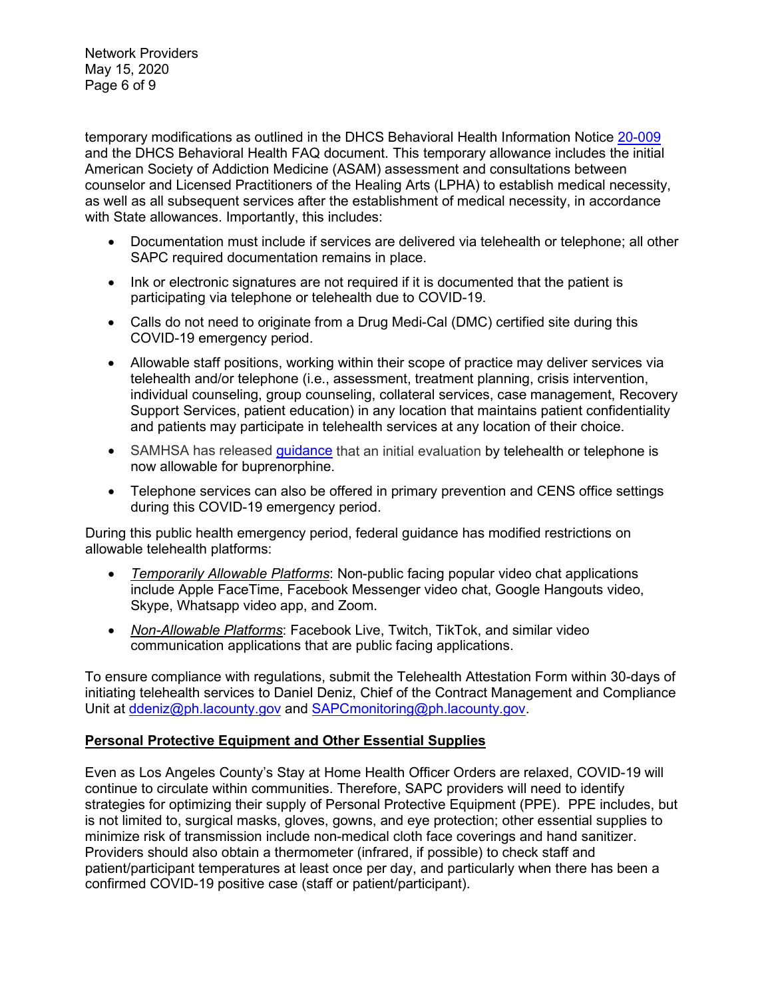Network Providers May 15, 2020 Page 6 of 9

temporary modifications as outlined in the DHCS Behavioral Health Information Notice [20-009](https://www.dhcs.ca.gov/Documents/COVID-19/IN-20-009-Guidance-on-COVID-19-for-Behavioral-Health.pdf) and the DHCS Behavioral Health FAQ document. This temporary allowance includes the initial American Society of Addiction Medicine (ASAM) assessment and consultations between counselor and Licensed Practitioners of the Healing Arts (LPHA) to establish medical necessity, as well as all subsequent services after the establishment of medical necessity, in accordance with State allowances. Importantly, this includes:

- Documentation must include if services are delivered via telehealth or telephone; all other SAPC required documentation remains in place.
- Ink or electronic signatures are not required if it is documented that the patient is participating via telephone or telehealth due to COVID-19.
- Calls do not need to originate from a Drug Medi-Cal (DMC) certified site during this COVID-19 emergency period.
- Allowable staff positions, working within their scope of practice may deliver services via telehealth and/or telephone (i.e., assessment, treatment planning, crisis intervention, individual counseling, group counseling, collateral services, case management, Recovery Support Services, patient education) in any location that maintains patient confidentiality and patients may participate in telehealth services at any location of their choice.
- SAMHSA has released [guidance](https://www.samhsa.gov/sites/default/files/faqs-for-oud-prescribing-and-dispensing.pdf) that an initial evaluation by telehealth or telephone is now allowable for buprenorphine.
- Telephone services can also be offered in primary prevention and CENS office settings during this COVID-19 emergency period.

During this public health emergency period, federal guidance has modified restrictions on allowable telehealth platforms:

- *Temporarily Allowable Platforms*: Non-public facing popular video chat applications include Apple FaceTime, Facebook Messenger video chat, Google Hangouts video, Skype, Whatsapp video app, and Zoom.
- *Non-Allowable Platforms*: Facebook Live, Twitch, TikTok, and similar video communication applications that are public facing applications.

To ensure compliance with regulations, submit the Telehealth Attestation Form within 30-days of initiating telehealth services to Daniel Deniz, Chief of the Contract Management and Compliance Unit at [ddeniz@ph.lacounty.gov](mailto:ddeniz@ph.lacounty.gov) and [SAPCmonitoring@ph.lacounty.gov.](mailto:sapcmonitoring@ph.lacounty.gov)

# **Personal Protective Equipment and Other Essential Supplies**

Even as Los Angeles County's Stay at Home Health Officer Orders are relaxed, COVID-19 will continue to circulate within communities. Therefore, SAPC providers will need to identify strategies for optimizing their supply of Personal Protective Equipment (PPE). PPE includes, but is not limited to, surgical masks, gloves, gowns, and eye protection; other essential supplies to minimize risk of transmission include non-medical cloth face coverings and hand sanitizer. Providers should also obtain a thermometer (infrared, if possible) to check staff and patient/participant temperatures at least once per day, and particularly when there has been a confirmed COVID-19 positive case (staff or patient/participant).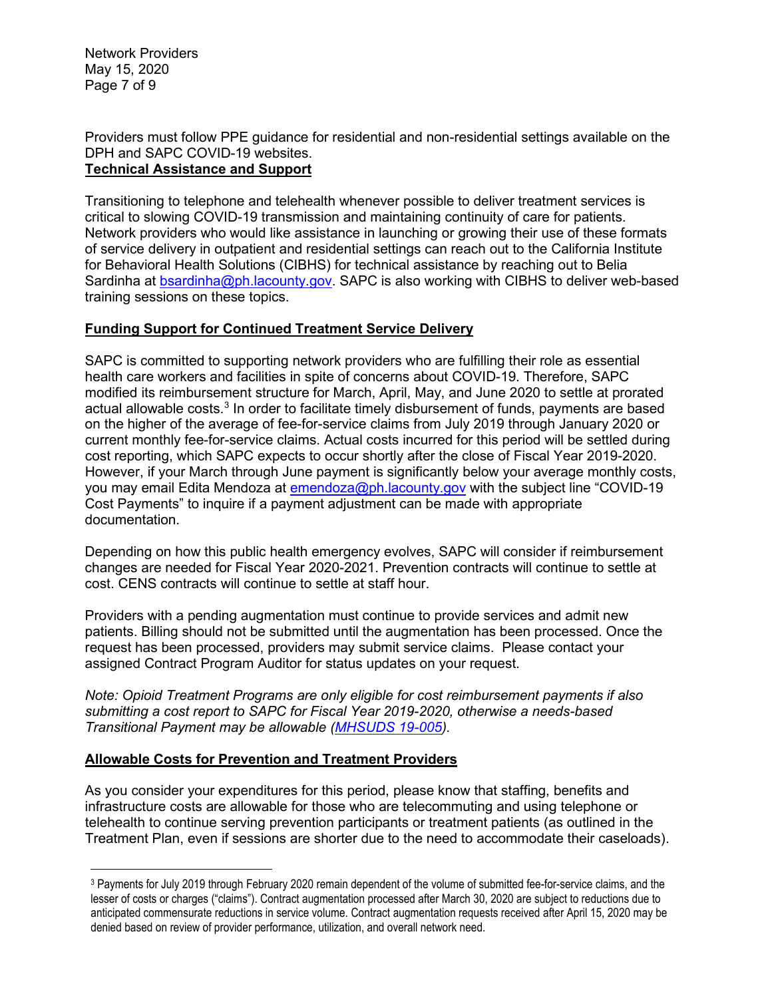Network Providers May 15, 2020 Page 7 of 9

#### Providers must follow PPE guidance for residential and non-residential settings available on the DPH and SAPC COVID-19 websites. **Technical Assistance and Support**

Transitioning to telephone and telehealth whenever possible to deliver treatment services is critical to slowing COVID-19 transmission and maintaining continuity of care for patients. Network providers who would like assistance in launching or growing their use of these formats of service delivery in outpatient and residential settings can reach out to the California Institute for Behavioral Health Solutions (CIBHS) for technical assistance by reaching out to Belia Sardinha at [bsardinha@ph.lacounty.gov.](mailto:bsardinha@ph.lacounty.gov) SAPC is also working with CIBHS to deliver web-based training sessions on these topics.

# **Funding Support for Continued Treatment Service Delivery**

SAPC is committed to supporting network providers who are fulfilling their role as essential health care workers and facilities in spite of concerns about COVID-19. Therefore, SAPC modified its reimbursement structure for March, April, May, and June 2020 to settle at prorated actual allowable costs.<sup>[3](#page-6-0)</sup> In order to facilitate timely disbursement of funds, payments are based on the higher of the average of fee-for-service claims from July 2019 through January 2020 or current monthly fee-for-service claims. Actual costs incurred for this period will be settled during cost reporting, which SAPC expects to occur shortly after the close of Fiscal Year 2019-2020. However, if your March through June payment is significantly below your average monthly costs, you may email Edita Mendoza at [emendoza@ph.lacounty.gov](mailto:emendoza@ph.lacounty.gov) with the subject line "COVID-19 Cost Payments" to inquire if a payment adjustment can be made with appropriate documentation.

Depending on how this public health emergency evolves, SAPC will consider if reimbursement changes are needed for Fiscal Year 2020-2021. Prevention contracts will continue to settle at cost. CENS contracts will continue to settle at staff hour.

Providers with a pending augmentation must continue to provide services and admit new patients. Billing should not be submitted until the augmentation has been processed. Once the request has been processed, providers may submit service claims. Please contact your assigned Contract Program Auditor for status updates on your request.

*Note: Opioid Treatment Programs are only eligible for cost reimbursement payments if also submitting a cost report to SAPC for Fiscal Year 2019-2020, otherwise a needs-based Transitional Payment may be allowable [\(MHSUDS 19-005\)](https://www.dhcs.ca.gov/formsandpubs/Documents/MHSUDS%20Information%20Notices/MHSUDS-Information-Notice-19-005-NTP-Cost-Reporting.pdf).*

## **Allowable Costs for Prevention and Treatment Providers**

As you consider your expenditures for this period, please know that staffing, benefits and infrastructure costs are allowable for those who are telecommuting and using telephone or telehealth to continue serving prevention participants or treatment patients (as outlined in the Treatment Plan, even if sessions are shorter due to the need to accommodate their caseloads).

<span id="page-6-0"></span><sup>3</sup> Payments for July 2019 through February 2020 remain dependent of the volume of submitted fee-for-service claims, and the lesser of costs or charges ("claims"). Contract augmentation processed after March 30, 2020 are subject to reductions due to anticipated commensurate reductions in service volume. Contract augmentation requests received after April 15, 2020 may be denied based on review of provider performance, utilization, and overall network need.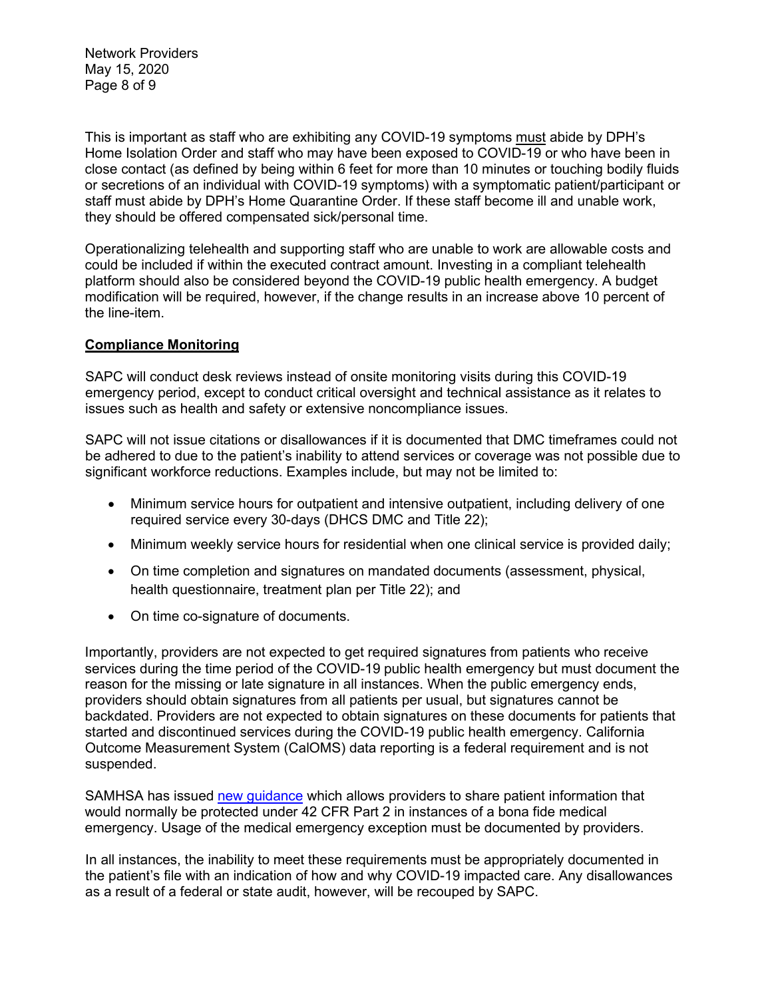Network Providers May 15, 2020 Page 8 of 9

This is important as staff who are exhibiting any COVID-19 symptoms must abide by DPH's Home Isolation Order and staff who may have been exposed to COVID-19 or who have been in close contact (as defined by being within 6 feet for more than 10 minutes or touching bodily fluids or secretions of an individual with COVID-19 symptoms) with a symptomatic patient/participant or staff must abide by DPH's Home Quarantine Order. If these staff become ill and unable work, they should be offered compensated sick/personal time.

Operationalizing telehealth and supporting staff who are unable to work are allowable costs and could be included if within the executed contract amount. Investing in a compliant telehealth platform should also be considered beyond the COVID-19 public health emergency. A budget modification will be required, however, if the change results in an increase above 10 percent of the line-item.

### **Compliance Monitoring**

SAPC will conduct desk reviews instead of onsite monitoring visits during this COVID-19 emergency period, except to conduct critical oversight and technical assistance as it relates to issues such as health and safety or extensive noncompliance issues.

SAPC will not issue citations or disallowances if it is documented that DMC timeframes could not be adhered to due to the patient's inability to attend services or coverage was not possible due to significant workforce reductions. Examples include, but may not be limited to:

- Minimum service hours for outpatient and intensive outpatient, including delivery of one required service every 30-days (DHCS DMC and Title 22);
- Minimum weekly service hours for residential when one clinical service is provided daily;
- On time completion and signatures on mandated documents (assessment, physical, health questionnaire, treatment plan per Title 22); and
- On time co-signature of documents.

Importantly, providers are not expected to get required signatures from patients who receive services during the time period of the COVID-19 public health emergency but must document the reason for the missing or late signature in all instances. When the public emergency ends, providers should obtain signatures from all patients per usual, but signatures cannot be backdated. Providers are not expected to obtain signatures on these documents for patients that started and discontinued services during the COVID-19 public health emergency. California Outcome Measurement System (CalOMS) data reporting is a federal requirement and is not suspended.

SAMHSA has issued [new guidance](https://www.samhsa.gov/sites/default/files/covid-19-42-cfr-part-2-guidance-03192020.pdf) which allows providers to share patient information that would normally be protected under 42 CFR Part 2 in instances of a bona fide medical emergency. Usage of the medical emergency exception must be documented by providers.

In all instances, the inability to meet these requirements must be appropriately documented in the patient's file with an indication of how and why COVID-19 impacted care. Any disallowances as a result of a federal or state audit, however, will be recouped by SAPC.